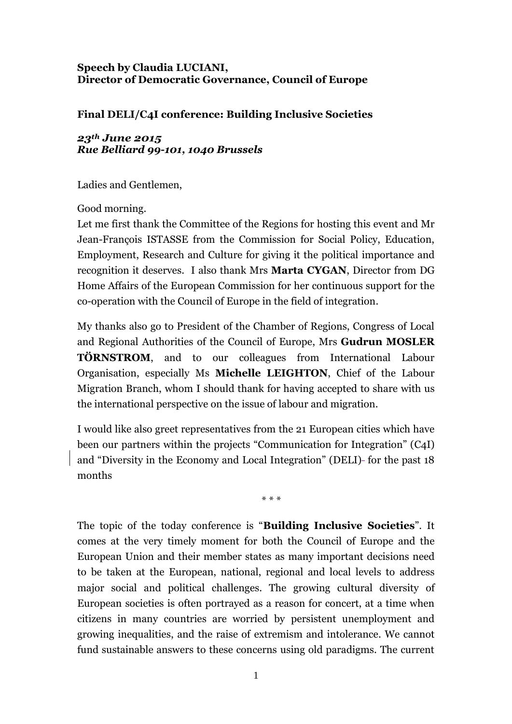## **Speech by Claudia LUCIANI, Director of Democratic Governance, Council of Europe**

## **Final DELI/C4I conference: Building Inclusive Societies**

## *23th June 2015 Rue Belliard 99-101, 1040 Brussels*

Ladies and Gentlemen,

Good morning.

Let me first thank the Committee of the Regions for hosting this event and Mr Jean-François ISTASSE from the Commission for Social Policy, Education, Employment, Research and Culture for giving it the political importance and recognition it deserves. I also thank Mrs **Marta CYGAN**, Director from DG Home Affairs of the European Commission for her continuous support for the co-operation with the Council of Europe in the field of integration.

My thanks also go to President of the Chamber of Regions, Congress of Local and Regional Authorities of the Council of Europe, Mrs **Gudrun MOSLER TÖRNSTROM**, and to our colleagues from International Labour Organisation, especially Ms **Michelle LEIGHTON**, Chief of the Labour Migration Branch, whom I should thank for having accepted to share with us the international perspective on the issue of labour and migration.

I would like also greet representatives from the 21 European cities which have been our partners within the projects "Communication for Integration" (C4I) and "Diversity in the Economy and Local Integration" (DELI)- for the past 18 months

\* \* \*

The topic of the today conference is "**Building Inclusive Societies**". It comes at the very timely moment for both the Council of Europe and the European Union and their member states as many important decisions need to be taken at the European, national, regional and local levels to address major social and political challenges. The growing cultural diversity of European societies is often portrayed as a reason for concert, at a time when citizens in many countries are worried by persistent unemployment and growing inequalities, and the raise of extremism and intolerance. We cannot fund sustainable answers to these concerns using old paradigms. The current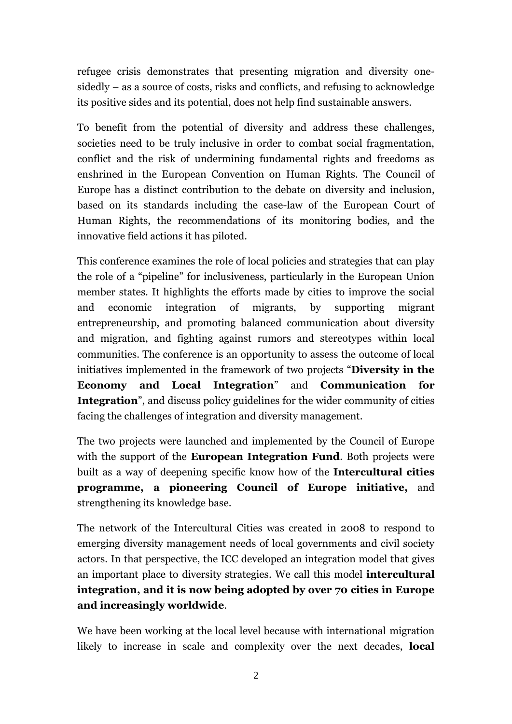refugee crisis demonstrates that presenting migration and diversity onesidedly – as a source of costs, risks and conflicts, and refusing to acknowledge its positive sides and its potential, does not help find sustainable answers.

To benefit from the potential of diversity and address these challenges, societies need to be truly inclusive in order to combat social fragmentation, conflict and the risk of undermining fundamental rights and freedoms as enshrined in the European Convention on Human Rights. The Council of Europe has a distinct contribution to the debate on diversity and inclusion, based on its standards including the case-law of the European Court of Human Rights, the recommendations of its monitoring bodies, and the innovative field actions it has piloted.

This conference examines the role of local policies and strategies that can play the role of a "pipeline" for inclusiveness, particularly in the European Union member states. It highlights the efforts made by cities to improve the social and economic integration of migrants, by supporting migrant entrepreneurship, and promoting balanced communication about diversity and migration, and fighting against rumors and stereotypes within local communities. The conference is an opportunity to assess the outcome of local initiatives implemented in the framework of two projects "**Diversity in the Economy and Local Integration**" and **Communication for Integration**", and discuss policy guidelines for the wider community of cities facing the challenges of integration and diversity management.

The two projects were launched and implemented by the Council of Europe with the support of the **European Integration Fund**. Both projects were built as a way of deepening specific know how of the **Intercultural cities programme, a pioneering Council of Europe initiative,** and strengthening its knowledge base.

The network of the Intercultural Cities was created in 2008 to respond to emerging diversity management needs of local governments and civil society actors. In that perspective, the ICC developed an integration model that gives an important place to diversity strategies. We call this model **intercultural integration, and it is now being adopted by over 70 cities in Europe and increasingly worldwide**.

We have been working at the local level because with international migration likely to increase in scale and complexity over the next decades, **local**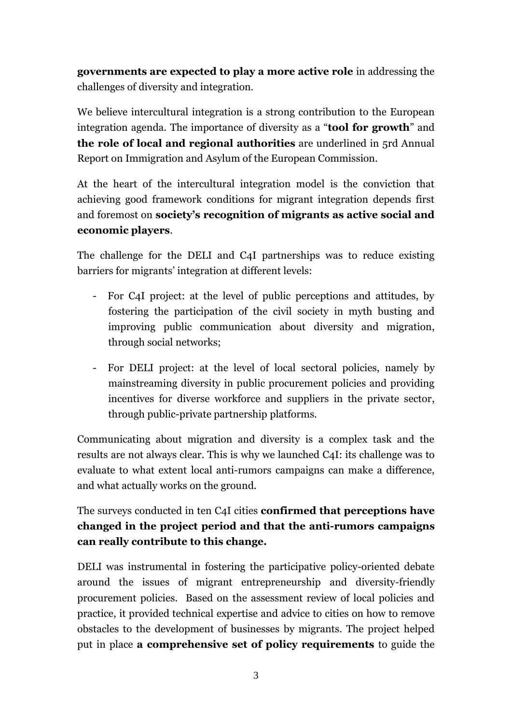**governments are expected to play a more active role** in addressing the challenges of diversity and integration.

We believe intercultural integration is a strong contribution to the European integration agenda. The importance of diversity as a "**tool for growth**" and **the role of local and regional authorities** are underlined in 5rd Annual Report on Immigration and Asylum of the European Commission.

At the heart of the intercultural integration model is the conviction that achieving good framework conditions for migrant integration depends first and foremost on **society's recognition of migrants as active social and economic players**.

The challenge for the DELI and C4I partnerships was to reduce existing barriers for migrants' integration at different levels:

- For C4I project: at the level of public perceptions and attitudes, by fostering the participation of the civil society in myth busting and improving public communication about diversity and migration, through social networks;
- For DELI project: at the level of local sectoral policies, namely by mainstreaming diversity in public procurement policies and providing incentives for diverse workforce and suppliers in the private sector, through public-private partnership platforms.

Communicating about migration and diversity is a complex task and the results are not always clear. This is why we launched C4I: its challenge was to evaluate to what extent local anti-rumors campaigns can make a difference, and what actually works on the ground.

The surveys conducted in ten C4I cities **confirmed that perceptions have changed in the project period and that the anti-rumors campaigns can really contribute to this change.** 

DELI was instrumental in fostering the participative policy-oriented debate around the issues of migrant entrepreneurship and diversity-friendly procurement policies. Based on the assessment review of local policies and practice, it provided technical expertise and advice to cities on how to remove obstacles to the development of businesses by migrants. The project helped put in place **a comprehensive set of policy requirements** to guide the